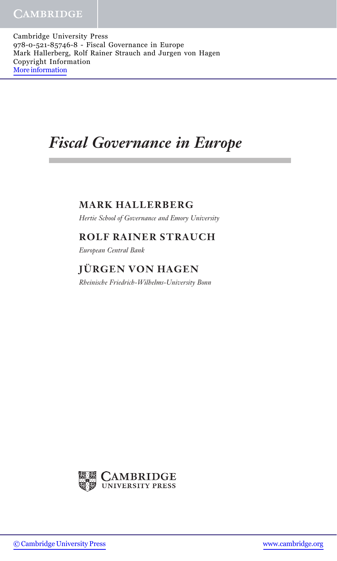Cambridge University Press 978-0-521-85746-8 - Fiscal Governance in Europe Mark Hallerberg, Rolf Rainer Strauch and Jurgen von Hagen Copyright Information [More information](http://www.cambridge.org/9780521857468)

# Fiscal Governance in Europe

## MARK HALLERBERG

Hertie School of Governance and Emory University

#### ROLF RAINER STRAUCH

European Central Bank

# **JÜRGEN VON HAGEN**

Rheinische Friedrich-Wilhelms-University Bonn